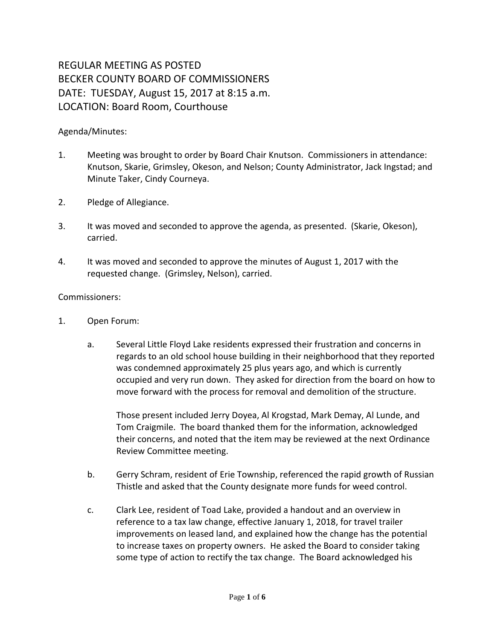## REGULAR MEETING AS POSTED BECKER COUNTY BOARD OF COMMISSIONERS DATE: TUESDAY, August 15, 2017 at 8:15 a.m. LOCATION: Board Room, Courthouse

## Agenda/Minutes:

- 1. Meeting was brought to order by Board Chair Knutson. Commissioners in attendance: Knutson, Skarie, Grimsley, Okeson, and Nelson; County Administrator, Jack Ingstad; and Minute Taker, Cindy Courneya.
- 2. Pledge of Allegiance.
- 3. It was moved and seconded to approve the agenda, as presented. (Skarie, Okeson), carried.
- 4. It was moved and seconded to approve the minutes of August 1, 2017 with the requested change. (Grimsley, Nelson), carried.

## Commissioners:

- 1. Open Forum:
	- a. Several Little Floyd Lake residents expressed their frustration and concerns in regards to an old school house building in their neighborhood that they reported was condemned approximately 25 plus years ago, and which is currently occupied and very run down. They asked for direction from the board on how to move forward with the process for removal and demolition of the structure.

Those present included Jerry Doyea, Al Krogstad, Mark Demay, Al Lunde, and Tom Craigmile. The board thanked them for the information, acknowledged their concerns, and noted that the item may be reviewed at the next Ordinance Review Committee meeting.

- b. Gerry Schram, resident of Erie Township, referenced the rapid growth of Russian Thistle and asked that the County designate more funds for weed control.
- c. Clark Lee, resident of Toad Lake, provided a handout and an overview in reference to a tax law change, effective January 1, 2018, for travel trailer improvements on leased land, and explained how the change has the potential to increase taxes on property owners. He asked the Board to consider taking some type of action to rectify the tax change. The Board acknowledged his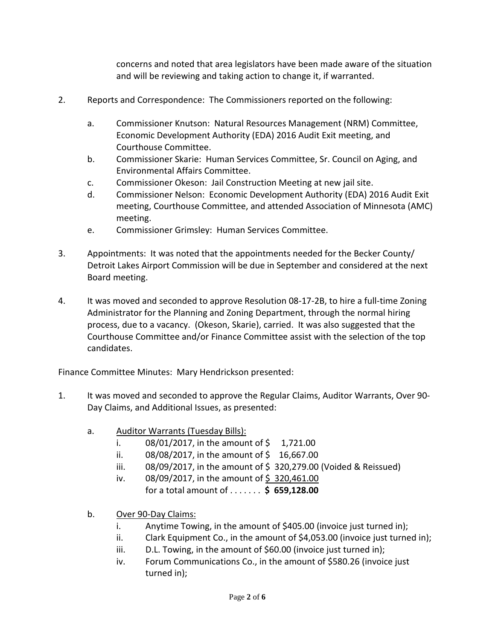concerns and noted that area legislators have been made aware of the situation and will be reviewing and taking action to change it, if warranted.

- 2. Reports and Correspondence: The Commissioners reported on the following:
	- a. Commissioner Knutson: Natural Resources Management (NRM) Committee, Economic Development Authority (EDA) 2016 Audit Exit meeting, and Courthouse Committee.
	- b. Commissioner Skarie: Human Services Committee, Sr. Council on Aging, and Environmental Affairs Committee.
	- c. Commissioner Okeson: Jail Construction Meeting at new jail site.
	- d. Commissioner Nelson: Economic Development Authority (EDA) 2016 Audit Exit meeting, Courthouse Committee, and attended Association of Minnesota (AMC) meeting.
	- e. Commissioner Grimsley: Human Services Committee.
- 3. Appointments: It was noted that the appointments needed for the Becker County/ Detroit Lakes Airport Commission will be due in September and considered at the next Board meeting.
- 4. It was moved and seconded to approve Resolution 08-17-2B, to hire a full-time Zoning Administrator for the Planning and Zoning Department, through the normal hiring process, due to a vacancy. (Okeson, Skarie), carried. It was also suggested that the Courthouse Committee and/or Finance Committee assist with the selection of the top candidates.

Finance Committee Minutes: Mary Hendrickson presented:

- 1. It was moved and seconded to approve the Regular Claims, Auditor Warrants, Over 90- Day Claims, and Additional Issues, as presented:
	- a. Auditor Warrants (Tuesday Bills):
		- i.  $08/01/2017$ , in the amount of \$ 1,721.00
		- ii.  $08/08/2017$ , in the amount of \$ 16,667.00
		- iii.  $08/09/2017$ , in the amount of \$320,279.00 (Voided & Reissued)
		- iv.  $08/09/2017$ , in the amount of \$320,461.00 for a total amount of . . . . . . . **\$ 659,128.00**
	- b. Over 90-Day Claims:
		- i. Anytime Towing, in the amount of \$405.00 (invoice just turned in);
		- ii. Clark Equipment Co., in the amount of \$4,053.00 (invoice just turned in);
		- iii. D.L. Towing, in the amount of \$60.00 (invoice just turned in);
		- iv. Forum Communications Co., in the amount of \$580.26 (invoice just turned in);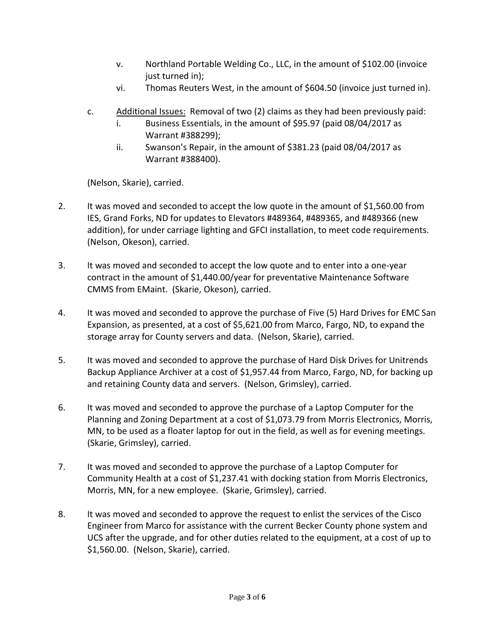- v. Northland Portable Welding Co., LLC, in the amount of \$102.00 (invoice just turned in);
- vi. Thomas Reuters West, in the amount of \$604.50 (invoice just turned in).
- c. Additional Issues: Removal of two (2) claims as they had been previously paid:
	- i. Business Essentials, in the amount of \$95.97 (paid 08/04/2017 as Warrant #388299);
	- ii. Swanson's Repair, in the amount of \$381.23 (paid 08/04/2017 as Warrant #388400).

(Nelson, Skarie), carried.

- 2. It was moved and seconded to accept the low quote in the amount of \$1,560.00 from IES, Grand Forks, ND for updates to Elevators #489364, #489365, and #489366 (new addition), for under carriage lighting and GFCI installation, to meet code requirements. (Nelson, Okeson), carried.
- 3. It was moved and seconded to accept the low quote and to enter into a one-year contract in the amount of \$1,440.00/year for preventative Maintenance Software CMMS from EMaint. (Skarie, Okeson), carried.
- 4. It was moved and seconded to approve the purchase of Five (5) Hard Drives for EMC San Expansion, as presented, at a cost of \$5,621.00 from Marco, Fargo, ND, to expand the storage array for County servers and data. (Nelson, Skarie), carried.
- 5. It was moved and seconded to approve the purchase of Hard Disk Drives for Unitrends Backup Appliance Archiver at a cost of \$1,957.44 from Marco, Fargo, ND, for backing up and retaining County data and servers. (Nelson, Grimsley), carried.
- 6. It was moved and seconded to approve the purchase of a Laptop Computer for the Planning and Zoning Department at a cost of \$1,073.79 from Morris Electronics, Morris, MN, to be used as a floater laptop for out in the field, as well as for evening meetings. (Skarie, Grimsley), carried.
- 7. It was moved and seconded to approve the purchase of a Laptop Computer for Community Health at a cost of \$1,237.41 with docking station from Morris Electronics, Morris, MN, for a new employee. (Skarie, Grimsley), carried.
- 8. It was moved and seconded to approve the request to enlist the services of the Cisco Engineer from Marco for assistance with the current Becker County phone system and UCS after the upgrade, and for other duties related to the equipment, at a cost of up to \$1,560.00. (Nelson, Skarie), carried.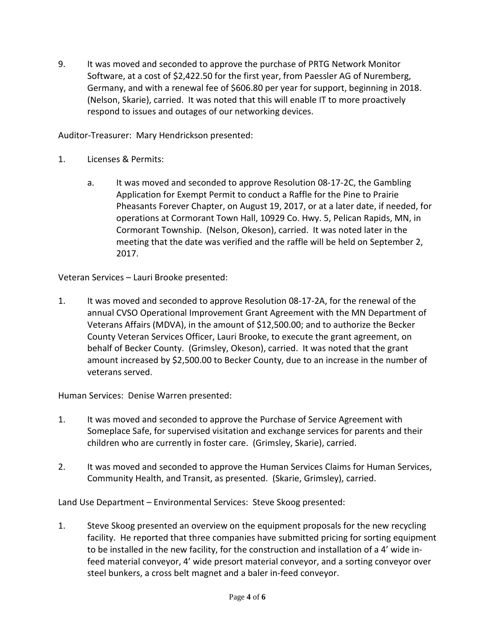9. It was moved and seconded to approve the purchase of PRTG Network Monitor Software, at a cost of \$2,422.50 for the first year, from Paessler AG of Nuremberg, Germany, and with a renewal fee of \$606.80 per year for support, beginning in 2018. (Nelson, Skarie), carried. It was noted that this will enable IT to more proactively respond to issues and outages of our networking devices.

Auditor-Treasurer: Mary Hendrickson presented:

- 1. Licenses & Permits:
	- a. It was moved and seconded to approve Resolution 08-17-2C, the Gambling Application for Exempt Permit to conduct a Raffle for the Pine to Prairie Pheasants Forever Chapter, on August 19, 2017, or at a later date, if needed, for operations at Cormorant Town Hall, 10929 Co. Hwy. 5, Pelican Rapids, MN, in Cormorant Township. (Nelson, Okeson), carried. It was noted later in the meeting that the date was verified and the raffle will be held on September 2, 2017.

Veteran Services – Lauri Brooke presented:

1. It was moved and seconded to approve Resolution 08-17-2A, for the renewal of the annual CVSO Operational Improvement Grant Agreement with the MN Department of Veterans Affairs (MDVA), in the amount of \$12,500.00; and to authorize the Becker County Veteran Services Officer, Lauri Brooke, to execute the grant agreement, on behalf of Becker County. (Grimsley, Okeson), carried. It was noted that the grant amount increased by \$2,500.00 to Becker County, due to an increase in the number of veterans served.

Human Services: Denise Warren presented:

- 1. It was moved and seconded to approve the Purchase of Service Agreement with Someplace Safe, for supervised visitation and exchange services for parents and their children who are currently in foster care. (Grimsley, Skarie), carried.
- 2. It was moved and seconded to approve the Human Services Claims for Human Services, Community Health, and Transit, as presented. (Skarie, Grimsley), carried.

Land Use Department – Environmental Services: Steve Skoog presented:

1. Steve Skoog presented an overview on the equipment proposals for the new recycling facility. He reported that three companies have submitted pricing for sorting equipment to be installed in the new facility, for the construction and installation of a 4' wide infeed material conveyor, 4' wide presort material conveyor, and a sorting conveyor over steel bunkers, a cross belt magnet and a baler in-feed conveyor.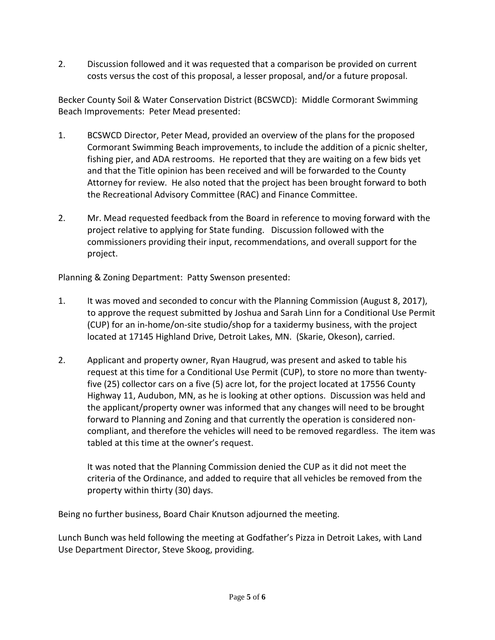2. Discussion followed and it was requested that a comparison be provided on current costs versus the cost of this proposal, a lesser proposal, and/or a future proposal.

Becker County Soil & Water Conservation District (BCSWCD): Middle Cormorant Swimming Beach Improvements: Peter Mead presented:

- 1. BCSWCD Director, Peter Mead, provided an overview of the plans for the proposed Cormorant Swimming Beach improvements, to include the addition of a picnic shelter, fishing pier, and ADA restrooms. He reported that they are waiting on a few bids yet and that the Title opinion has been received and will be forwarded to the County Attorney for review. He also noted that the project has been brought forward to both the Recreational Advisory Committee (RAC) and Finance Committee.
- 2. Mr. Mead requested feedback from the Board in reference to moving forward with the project relative to applying for State funding. Discussion followed with the commissioners providing their input, recommendations, and overall support for the project.

Planning & Zoning Department: Patty Swenson presented:

- 1. It was moved and seconded to concur with the Planning Commission (August 8, 2017), to approve the request submitted by Joshua and Sarah Linn for a Conditional Use Permit (CUP) for an in-home/on-site studio/shop for a taxidermy business, with the project located at 17145 Highland Drive, Detroit Lakes, MN. (Skarie, Okeson), carried.
- 2. Applicant and property owner, Ryan Haugrud, was present and asked to table his request at this time for a Conditional Use Permit (CUP), to store no more than twentyfive (25) collector cars on a five (5) acre lot, for the project located at 17556 County Highway 11, Audubon, MN, as he is looking at other options. Discussion was held and the applicant/property owner was informed that any changes will need to be brought forward to Planning and Zoning and that currently the operation is considered noncompliant, and therefore the vehicles will need to be removed regardless. The item was tabled at this time at the owner's request.

It was noted that the Planning Commission denied the CUP as it did not meet the criteria of the Ordinance, and added to require that all vehicles be removed from the property within thirty (30) days.

Being no further business, Board Chair Knutson adjourned the meeting.

Lunch Bunch was held following the meeting at Godfather's Pizza in Detroit Lakes, with Land Use Department Director, Steve Skoog, providing.